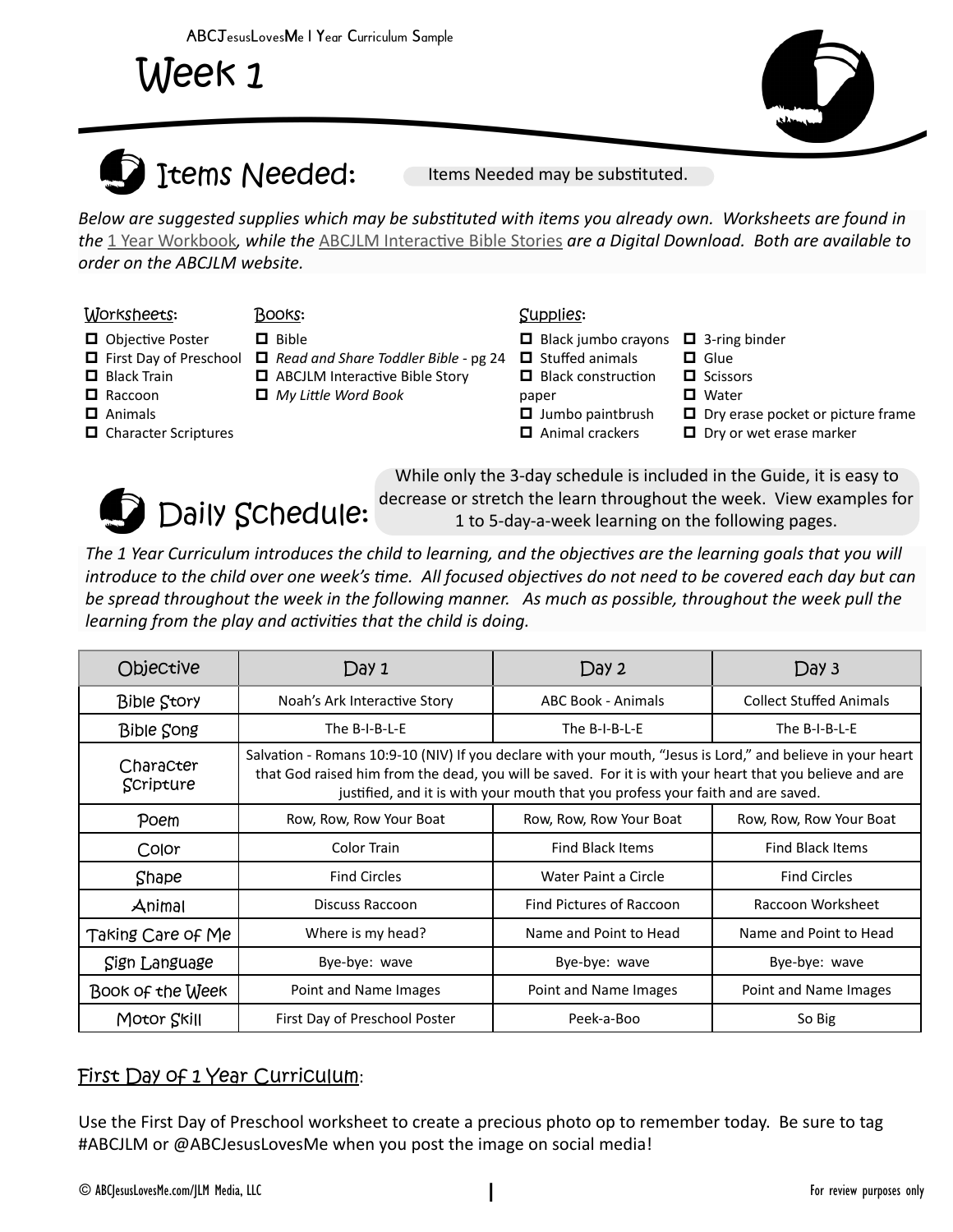Week 1



# Items Needed:

Items Needed may be substituted.

*Below are suggested supplies which may be substituted with items you already own. Worksheets are found in the* 1 Year Workbook*, while the* ABCJLM Interactive Bible Stories *are a Digital Download. Both are available to order on the ABCJLM website.*

Worksheets: Books: Supplies:

## $\Box$  Bible

□ ABCJLM Interactive Bible Story

*My Little Word Book*

- $\Box$  Objective Poster
- First Day of Preschool *Read and Share Toddler Bible* pg 24
- **D** Black Train
- **D** Raccoon
- Animals
- Character Scriptures

- $\Box$  Black jumbo crayons  $\Box$  3-ring binder
- $\Box$  Stuffed animals
- $\Box$  Black construction
- paper
	-

 $\Box$  Glue  $\square$  Scissors

- $\Box$  Jumbo paintbrush **D** Animal crackers
- **D** Water  $\Box$  Dry erase pocket or picture frame
- D Dry or wet erase marker



While only the 3-day schedule is included in the Guide, it is easy to decrease or stretch the learn throughout the week. View examples for 1 to 5-day-a-week learning on the following pages.

*The 1 Year Curriculum introduces the child to learning, and the objectives are the learning goals that you will introduce to the child over one week's time. All focused objectives do not need to be covered each day but can be spread throughout the week in the following manner. As much as possible, throughout the week pull the learning from the play and activities that the child is doing.* 

| Objective              | Day 1                                                                                                                                                                                                                                                                                                      | Day 2                     | Day 3                          |  |
|------------------------|------------------------------------------------------------------------------------------------------------------------------------------------------------------------------------------------------------------------------------------------------------------------------------------------------------|---------------------------|--------------------------------|--|
| <b>Bible Story</b>     | Noah's Ark Interactive Story                                                                                                                                                                                                                                                                               | <b>ABC Book - Animals</b> | <b>Collect Stuffed Animals</b> |  |
| <b>Bible Song</b>      | The B-I-B-L-E                                                                                                                                                                                                                                                                                              | The B-I-B-L-E             | The B-I-B-L-E                  |  |
| Character<br>Scripture | Salvation - Romans 10:9-10 (NIV) If you declare with your mouth, "Jesus is Lord," and believe in your heart<br>that God raised him from the dead, you will be saved. For it is with your heart that you believe and are<br>justified, and it is with your mouth that you profess your faith and are saved. |                           |                                |  |
| Poem                   | Row, Row, Row Your Boat                                                                                                                                                                                                                                                                                    | Row, Row, Row Your Boat   | Row, Row, Row Your Boat        |  |
| Color                  | Color Train                                                                                                                                                                                                                                                                                                | <b>Find Black Items</b>   | <b>Find Black Items</b>        |  |
| Shape                  | <b>Find Circles</b>                                                                                                                                                                                                                                                                                        | Water Paint a Circle      | <b>Find Circles</b>            |  |
| Animal                 | Discuss Raccoon                                                                                                                                                                                                                                                                                            | Find Pictures of Raccoon  | Raccoon Worksheet              |  |
| Taking Care of Me      | Where is my head?                                                                                                                                                                                                                                                                                          | Name and Point to Head    | Name and Point to Head         |  |
| Sign Language          | Bye-bye: wave                                                                                                                                                                                                                                                                                              | Bye-bye: wave             | Bye-bye: wave                  |  |
| Book of the Week       | Point and Name Images                                                                                                                                                                                                                                                                                      | Point and Name Images     | Point and Name Images          |  |
| Motor Skill            | First Day of Preschool Poster                                                                                                                                                                                                                                                                              | Peek-a-Boo                | So Big                         |  |

#### First Day of 1 Year Curriculum:

Use the First Day of Preschool worksheet to create a precious photo op to remember today. Be sure to tag #ABCJLM or @ABCJesusLovesMe when you post the image on social media!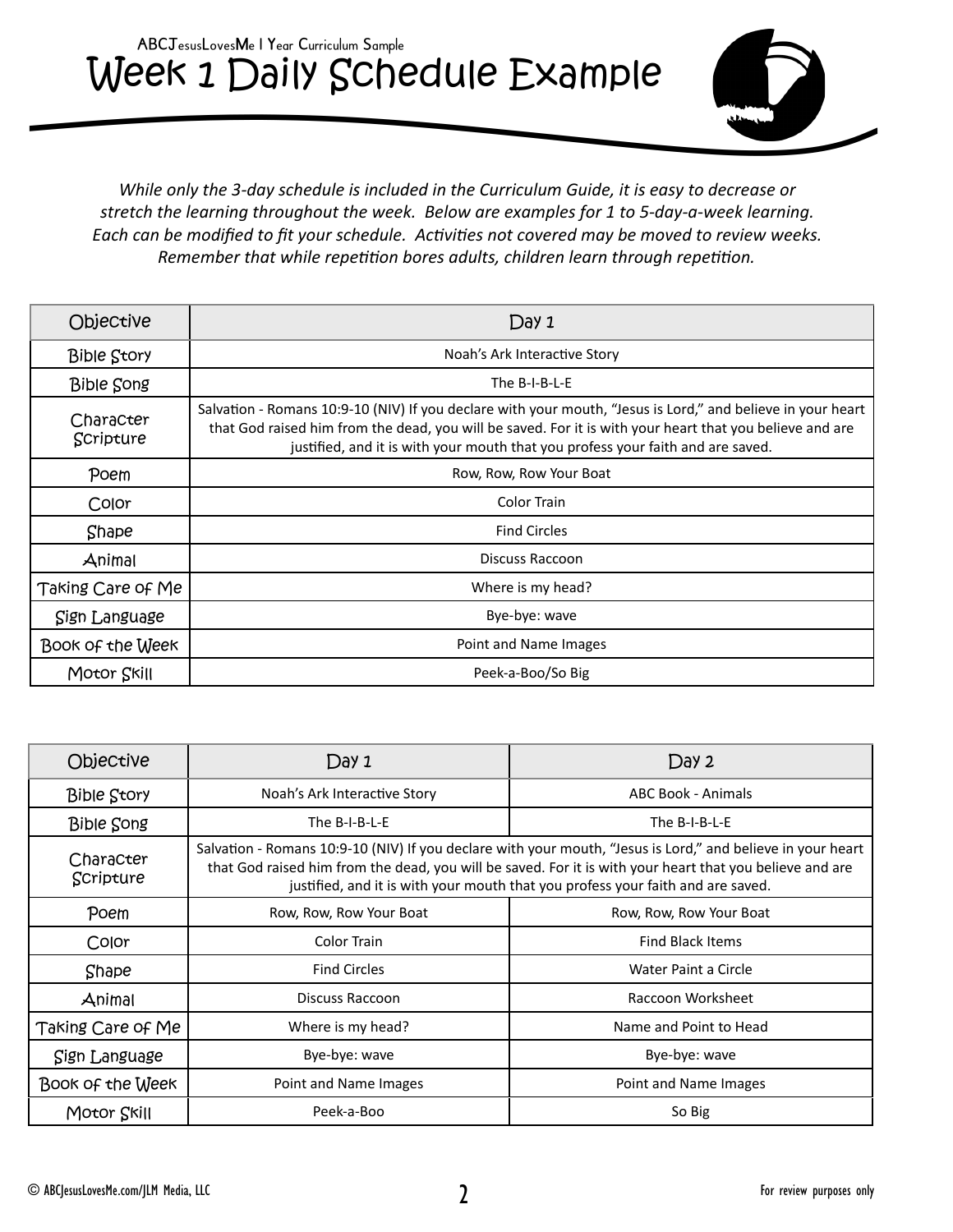### Week 1 Daily Schedule Example ABCJesusLovesMe 1 Year Curriculum Sample



*While only the 3-day schedule is included in the Curriculum Guide, it is easy to decrease or stretch the learning throughout the week. Below are examples for 1 to 5-day-a-week learning. Each can be modified to fit your schedule. Activities not covered may be moved to review weeks. Remember that while repetition bores adults, children learn through repetition.*

| Objective              | Day 1                                                                                                                                                                                                                                                                                                      |
|------------------------|------------------------------------------------------------------------------------------------------------------------------------------------------------------------------------------------------------------------------------------------------------------------------------------------------------|
| <b>Bible Story</b>     | Noah's Ark Interactive Story                                                                                                                                                                                                                                                                               |
| <b>Bible Song</b>      | The B-I-B-L-E                                                                                                                                                                                                                                                                                              |
| Character<br>Scripture | Salvation - Romans 10:9-10 (NIV) If you declare with your mouth, "Jesus is Lord," and believe in your heart<br>that God raised him from the dead, you will be saved. For it is with your heart that you believe and are<br>justified, and it is with your mouth that you profess your faith and are saved. |
| Poem                   | Row, Row, Row Your Boat                                                                                                                                                                                                                                                                                    |
| Color                  | <b>Color Train</b>                                                                                                                                                                                                                                                                                         |
| Shape                  | <b>Find Circles</b>                                                                                                                                                                                                                                                                                        |
| Animal                 | <b>Discuss Raccoon</b>                                                                                                                                                                                                                                                                                     |
| Taking Care of Me      | Where is my head?                                                                                                                                                                                                                                                                                          |
| Sign Language          | Bye-bye: wave                                                                                                                                                                                                                                                                                              |
| Book of the Week       | Point and Name Images                                                                                                                                                                                                                                                                                      |
| Motor Skill            | Peek-a-Boo/So Big                                                                                                                                                                                                                                                                                          |

| Objective              | Day 1                                                                                                                                                                                                                                                                                                      | Day 2                     |  |
|------------------------|------------------------------------------------------------------------------------------------------------------------------------------------------------------------------------------------------------------------------------------------------------------------------------------------------------|---------------------------|--|
| <b>Bible Story</b>     | Noah's Ark Interactive Story                                                                                                                                                                                                                                                                               | <b>ABC Book - Animals</b> |  |
| <b>Bible Song</b>      | The B-I-B-L-E                                                                                                                                                                                                                                                                                              | The B-I-B-L-E             |  |
| Character<br>Scripture | Salvation - Romans 10:9-10 (NIV) If you declare with your mouth, "Jesus is Lord," and believe in your heart<br>that God raised him from the dead, you will be saved. For it is with your heart that you believe and are<br>justified, and it is with your mouth that you profess your faith and are saved. |                           |  |
| Poem                   | Row, Row, Row Your Boat                                                                                                                                                                                                                                                                                    | Row, Row, Row Your Boat   |  |
| Color                  | Color Train                                                                                                                                                                                                                                                                                                | <b>Find Black Items</b>   |  |
| Shape                  | <b>Find Circles</b>                                                                                                                                                                                                                                                                                        | Water Paint a Circle      |  |
| Animal                 | Discuss Raccoon                                                                                                                                                                                                                                                                                            | Raccoon Worksheet         |  |
| Taking Care of Me      | Where is my head?                                                                                                                                                                                                                                                                                          | Name and Point to Head    |  |
| Sign Language          | Bye-bye: wave                                                                                                                                                                                                                                                                                              | Bye-bye: wave             |  |
| Book of the Week       | Point and Name Images                                                                                                                                                                                                                                                                                      | Point and Name Images     |  |
| Motor Skill            | Peek-a-Boo                                                                                                                                                                                                                                                                                                 | So Big                    |  |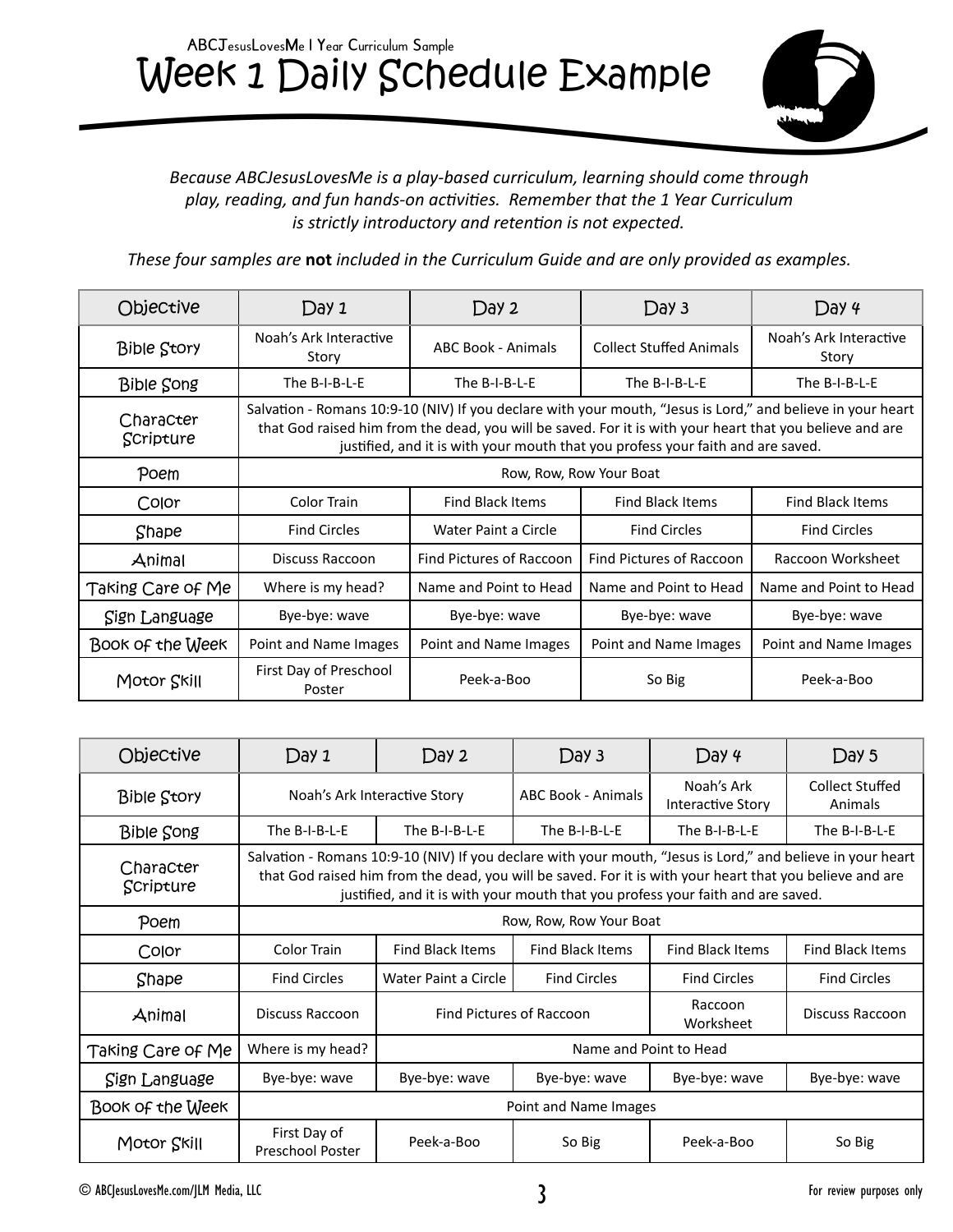### Week 1 Daily Schedule Example ABCJesusLovesMe 1 Year Curriculum Sample



#### *Because ABCJesusLovesMe is a play-based curriculum, learning should come through play, reading, and fun hands-on activities. Remember that the 1 Year Curriculum is strictly introductory and retention is not expected.*

*These four samples are* **not** *included in the Curriculum Guide and are only provided as examples.* 

| Objective              | Day1                                                                                                                                                                                                                                                                                                       | Day 2                    | Day 3                          | Day 4                           |
|------------------------|------------------------------------------------------------------------------------------------------------------------------------------------------------------------------------------------------------------------------------------------------------------------------------------------------------|--------------------------|--------------------------------|---------------------------------|
| <b>Bible Story</b>     | Noah's Ark Interactive<br>Story                                                                                                                                                                                                                                                                            | ABC Book - Animals       | <b>Collect Stuffed Animals</b> | Noah's Ark Interactive<br>Story |
| <b>Bible Song</b>      | The B-I-B-L-E                                                                                                                                                                                                                                                                                              | The B-I-B-L-E            | The B-I-B-L-E                  | The B-I-B-L-E                   |
| Character<br>Scripture | Salvation - Romans 10:9-10 (NIV) If you declare with your mouth, "Jesus is Lord," and believe in your heart<br>that God raised him from the dead, you will be saved. For it is with your heart that you believe and are<br>justified, and it is with your mouth that you profess your faith and are saved. |                          |                                |                                 |
| Poem                   | Row, Row, Row Your Boat                                                                                                                                                                                                                                                                                    |                          |                                |                                 |
| Color                  | <b>Color Train</b>                                                                                                                                                                                                                                                                                         | <b>Find Black Items</b>  | <b>Find Black Items</b>        | <b>Find Black Items</b>         |
| Shape                  | <b>Find Circles</b>                                                                                                                                                                                                                                                                                        | Water Paint a Circle     | <b>Find Circles</b>            | <b>Find Circles</b>             |
| Animal                 | Discuss Raccoon                                                                                                                                                                                                                                                                                            | Find Pictures of Raccoon | Find Pictures of Raccoon       | Raccoon Worksheet               |
| Taking Care of Me      | Where is my head?                                                                                                                                                                                                                                                                                          | Name and Point to Head   | Name and Point to Head         | Name and Point to Head          |
| Sign Language          | Bye-bye: wave                                                                                                                                                                                                                                                                                              | Bye-bye: wave            | Bye-bye: wave                  | Bye-bye: wave                   |
| Book of the Week       | Point and Name Images                                                                                                                                                                                                                                                                                      | Point and Name Images    | Point and Name Images          | Point and Name Images           |
| Motor Skill            | First Day of Preschool<br>Poster                                                                                                                                                                                                                                                                           | Peek-a-Boo               | So Big                         | Peek-a-Boo                      |

| Objective              | Day 1                                                                                                                                                                                                                                                                                                      | Day 2                    | Day 3                     | Day 4                                  | Day 5                             |
|------------------------|------------------------------------------------------------------------------------------------------------------------------------------------------------------------------------------------------------------------------------------------------------------------------------------------------------|--------------------------|---------------------------|----------------------------------------|-----------------------------------|
| <b>Bible Story</b>     | Noah's Ark Interactive Story                                                                                                                                                                                                                                                                               |                          | <b>ABC Book - Animals</b> | Noah's Ark<br><b>Interactive Story</b> | <b>Collect Stuffed</b><br>Animals |
| <b>Bible Song</b>      | The B-I-B-L-E                                                                                                                                                                                                                                                                                              | The B-I-B-L-E            | The B-I-B-L-E             | The B-I-B-L-E                          | The B-I-B-L-E                     |
| Character<br>Scripture | Salvation - Romans 10:9-10 (NIV) If you declare with your mouth, "Jesus is Lord," and believe in your heart<br>that God raised him from the dead, you will be saved. For it is with your heart that you believe and are<br>justified, and it is with your mouth that you profess your faith and are saved. |                          |                           |                                        |                                   |
| Poem                   | Row, Row, Row Your Boat                                                                                                                                                                                                                                                                                    |                          |                           |                                        |                                   |
| Color                  | Color Train                                                                                                                                                                                                                                                                                                | <b>Find Black Items</b>  | <b>Find Black Items</b>   | <b>Find Black Items</b>                | <b>Find Black Items</b>           |
| Shape                  | <b>Find Circles</b>                                                                                                                                                                                                                                                                                        | Water Paint a Circle     | <b>Find Circles</b>       | <b>Find Circles</b>                    | <b>Find Circles</b>               |
| Animal                 | Discuss Raccoon                                                                                                                                                                                                                                                                                            | Find Pictures of Raccoon |                           | Raccoon<br>Worksheet                   | Discuss Raccoon                   |
| Taking Care of Me      | Where is my head?                                                                                                                                                                                                                                                                                          | Name and Point to Head   |                           |                                        |                                   |
| Sign Language          | Bye-bye: wave                                                                                                                                                                                                                                                                                              | Bye-bye: wave            | Bye-bye: wave             | Bye-bye: wave                          | Bye-bye: wave                     |
| Book of the Week       |                                                                                                                                                                                                                                                                                                            | Point and Name Images    |                           |                                        |                                   |
| Motor Skill            | First Day of<br><b>Preschool Poster</b>                                                                                                                                                                                                                                                                    | Peek-a-Boo               | So Big                    | Peek-a-Boo                             | So Big                            |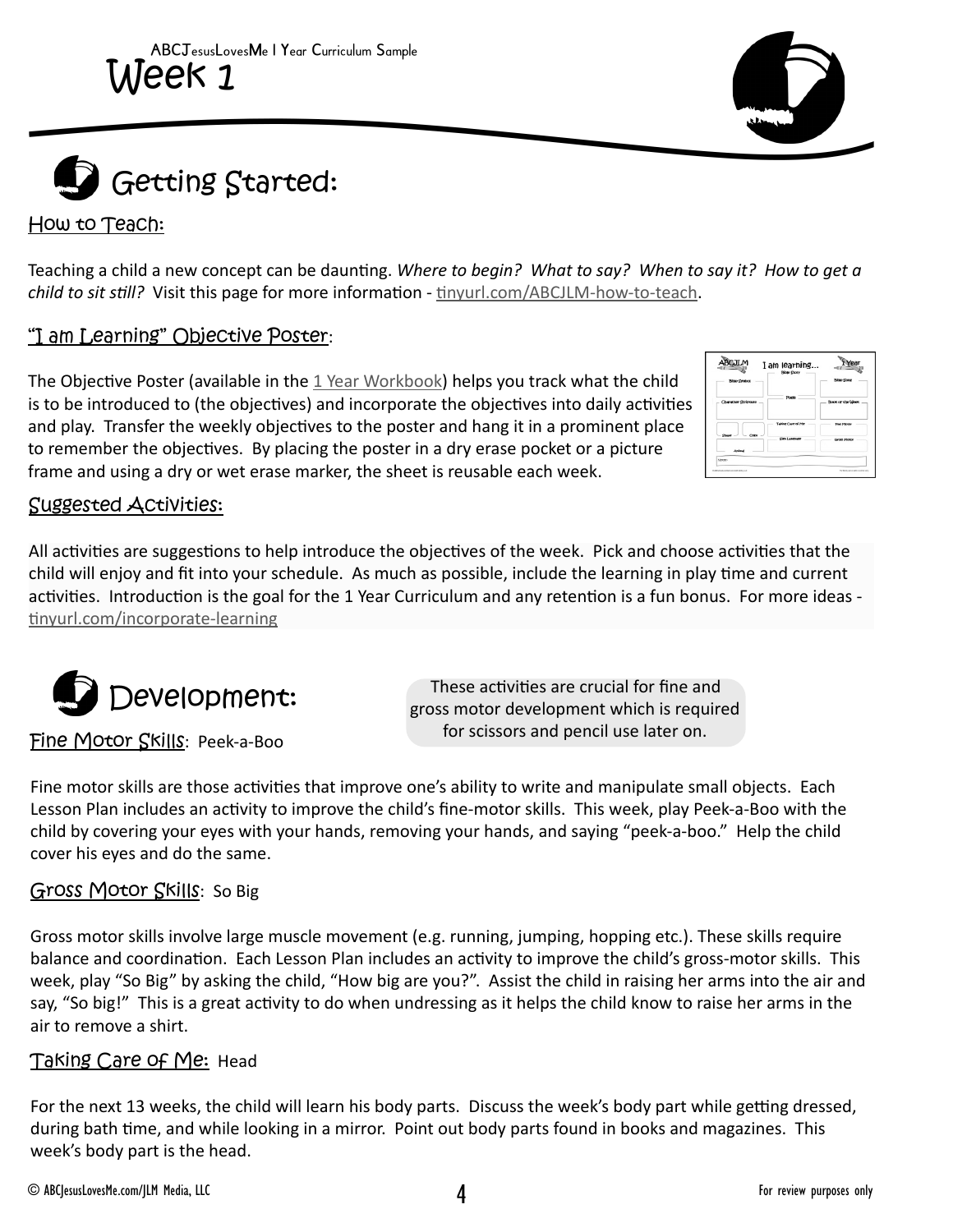

How to Teach:

Teaching a child a new concept can be daunting. *Where to begin? What to say? When to say it? How to get a child to sit still?* Visit this page for more information - tinyurl.com/ABCJLM-how-to-teach.

#### "I am Learning" Objective Poster:

The Objective Poster (available in the  $1$  Year Workbook) helps you track what the child is to be introduced to (the objectives) and incorporate the objectives into daily activities and play. Transfer the weekly objectives to the poster and hang it in a prominent place to remember the objectives. By placing the poster in a dry erase pocket or a picture frame and using a dry or wet erase marker, the sheet is reusable each week.

|                        | I am learning<br><b>Bible Story</b> | <b>Bibie Song</b> |
|------------------------|-------------------------------------|-------------------|
| <b>Bible Centrol</b>   |                                     |                   |
|                        | Posts                               |                   |
| CharaCter Scripture    |                                     | Book of the Ubek  |
|                        | Taking Care of Me                   | <b>Fine Moss</b>  |
| CORN -<br><b>Share</b> | <b>City Landiado</b>                | Gross Motor       |
| Ardmall                |                                     |                   |
| Noven.                 |                                     |                   |

#### Suggested Activities:

All activities are suggestions to help introduce the objectives of the week. Pick and choose activities that the child will enjoy and fit into your schedule. As much as possible, include the learning in play time and current activities. Introduction is the goal for the 1 Year Curriculum and any retention is a fun bonus. For more ideas tinyurl.com/incorporate-learning



Fine Motor Skills: Peek-a-Boo

These activities are crucial for fine and gross motor development which is required for scissors and pencil use later on.

Fine motor skills are those activities that improve one's ability to write and manipulate small objects. Each Lesson Plan includes an activity to improve the child's fine-motor skills. This week, play Peek-a-Boo with the child by covering your eyes with your hands, removing your hands, and saying "peek-a-boo." Help the child cover his eyes and do the same.

#### Gross Motor Skills: So Big

Gross motor skills involve large muscle movement (e.g. running, jumping, hopping etc.). These skills require balance and coordination. Each Lesson Plan includes an activity to improve the child's gross-motor skills. This week, play "So Big" by asking the child, "How big are you?". Assist the child in raising her arms into the air and say, "So big!" This is a great activity to do when undressing as it helps the child know to raise her arms in the air to remove a shirt.

#### Taking Care of Me: Head

For the next 13 weeks, the child will learn his body parts. Discuss the week's body part while getting dressed, during bath time, and while looking in a mirror. Point out body parts found in books and magazines. This week's body part is the head.

 $\odot$  ABCJesusLovesMe.com/JLM Media, LLC  $\bf 4$   $\bf 4$   $\bf 6$   $\bf 7$   $\bf 8$   $\bf 7$   $\bf 8$   $\bf 8$   $\bf 9$   $\bf 9$   $\bf 10$   $\bf 9$   $\bf 9$   $\bf 10$   $\bf 9$   $\bf 10$   $\bf 9$   $\bf 10$   $\bf 9$   $\bf 10$   $\bf 9$   $\bf 10$   $\bf 10$   $\bf 10$   $\bf$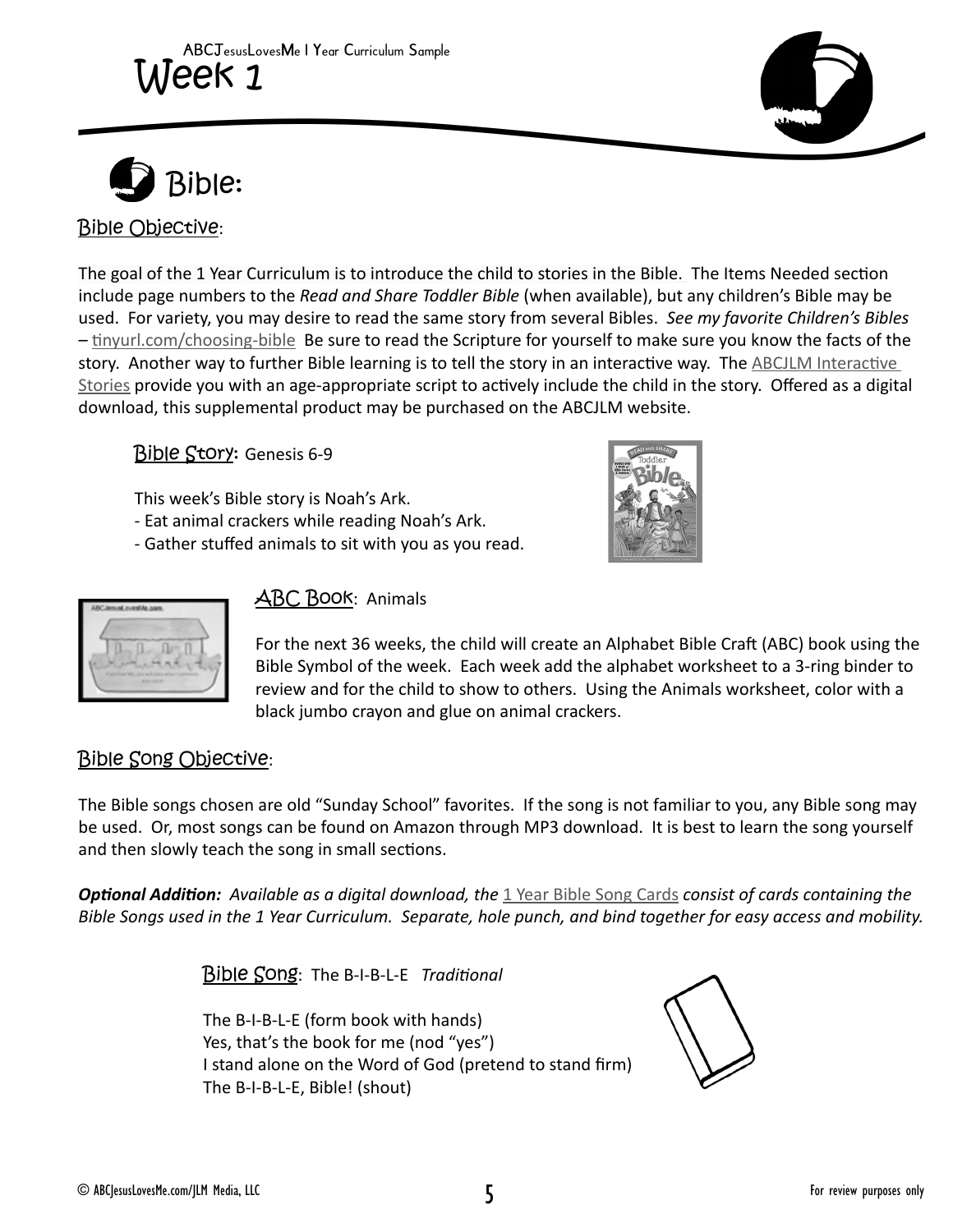



#### Bible Objective:

The goal of the 1 Year Curriculum is to introduce the child to stories in the Bible. The Items Needed section include page numbers to the *Read and Share Toddler Bible* (when available), but any children's Bible may be used. For variety, you may desire to read the same story from several Bibles. *See my favorite Children's Bibles –* tinyurl.com/choosing-bibleBe sure to read the Scripture for yourself to make sure you know the facts of the story. Another way to further Bible learning is to tell the story in an interactive way. The ABCJLM Interactive Stories provide you with an age-appropriate script to actively include the child in the story. Offered as a digital download, this supplemental product may be purchased on the ABCJLM website.

#### Bible Story: Genesis 6-9

This week's Bible story is Noah's Ark.

- Eat animal crackers while reading Noah's Ark.
- Gather stuffed animals to sit with you as you read.





#### ABC Book: Animals

For the next 36 weeks, the child will create an Alphabet Bible Craft (ABC) book using the Bible Symbol of the week. Each week add the alphabet worksheet to a 3-ring binder to review and for the child to show to others. Using the Animals worksheet, color with a black jumbo crayon and glue on animal crackers.

#### Bible Song Objective:

The Bible songs chosen are old "Sunday School" favorites. If the song is not familiar to you, any Bible song may be used. Or, most songs can be found on Amazon through MP3 download. It is best to learn the song yourself and then slowly teach the song in small sections.

*Optional Addition: Available as a digital download, the* 1 Year Bible Song Cards *consist of cards containing the Bible Songs used in the 1 Year Curriculum. Separate, hole punch, and bind together for easy access and mobility.*

Bible Song: The B-I-B-L-E *Traditional*

The B-I-B-L-E (form book with hands) Yes, that's the book for me (nod "yes") I stand alone on the Word of God (pretend to stand firm) The B-I-B-L-E, Bible! (shout)

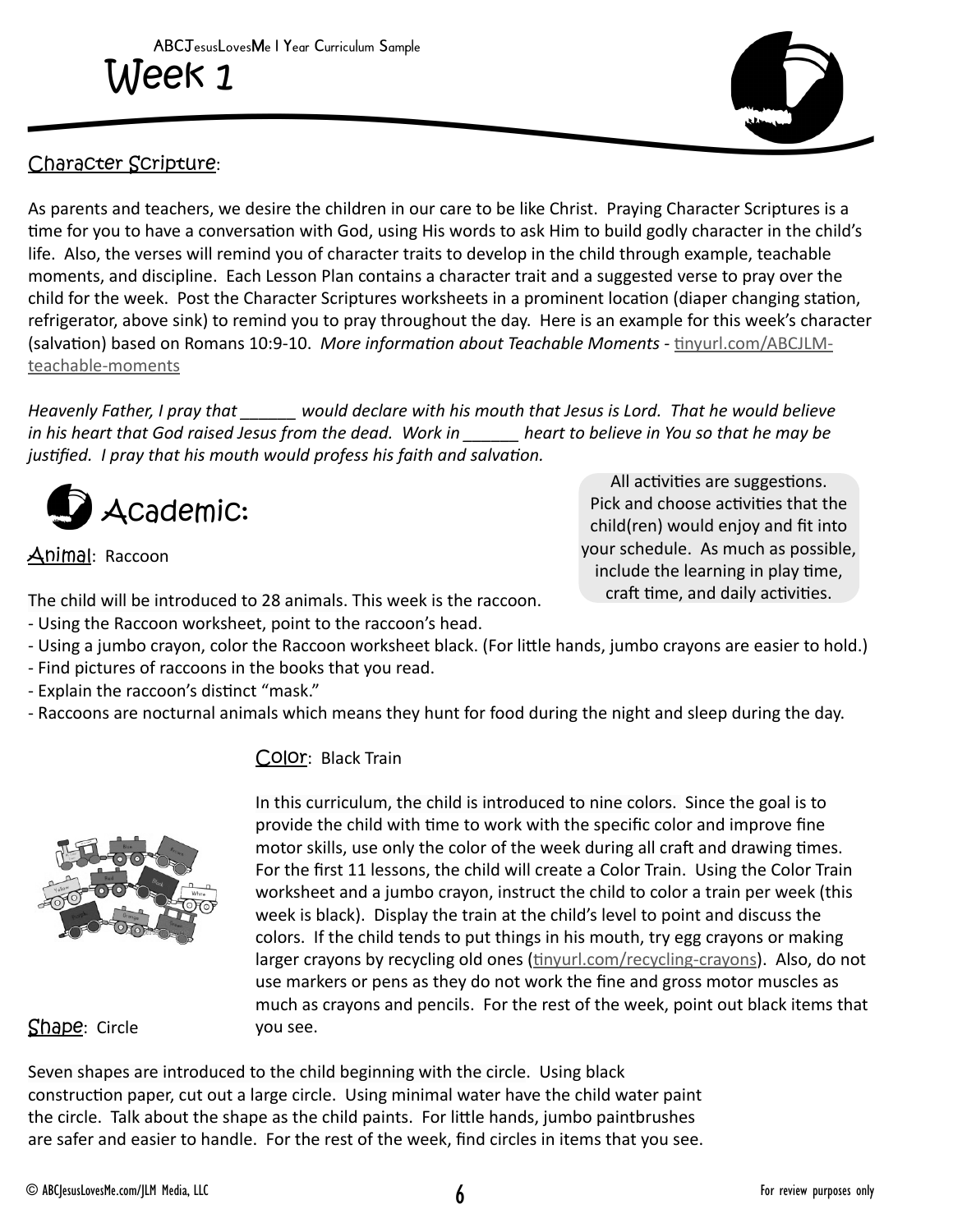

All activities are suggestions. Pick and choose activities that the child(ren) would enjoy and fit into your schedule. As much as possible, include the learning in play time, craft time, and daily activities.

#### Character Scripture:

As parents and teachers, we desire the children in our care to be like Christ. Praying Character Scriptures is a time for you to have a conversation with God, using His words to ask Him to build godly character in the child's life. Also, the verses will remind you of character traits to develop in the child through example, teachable moments, and discipline. Each Lesson Plan contains a character trait and a suggested verse to pray over the child for the week. Post the Character Scriptures worksheets in a prominent location (diaper changing station, refrigerator, above sink) to remind you to pray throughout the day. Here is an example for this week's character (salvation) based on Romans 10:9-10. *More information about Teachable Moments -* tinyurl.com/ABCJLMteachable-moments

*Heavenly Father, I pray that \_\_\_\_\_\_ would declare with his mouth that Jesus is Lord. That he would believe in his heart that God raised Jesus from the dead. Work in \_\_\_\_\_\_ heart to believe in You so that he may be justified. I pray that his mouth would profess his faith and salvation.*



Animal: Raccoon

The child will be introduced to 28 animals. This week is the raccoon.

- Using the Raccoon worksheet, point to the raccoon's head.
- Using a jumbo crayon, color the Raccoon worksheet black. (For little hands, jumbo crayons are easier to hold.)
- Find pictures of raccoons in the books that you read.
- Explain the raccoon's distinct "mask."
- Raccoons are nocturnal animals which means they hunt for food during the night and sleep during the day.

#### Color: Black Train



Shape: Circle you see.

In this curriculum, the child is introduced to nine colors. Since the goal is to provide the child with time to work with the specific color and improve fine motor skills, use only the color of the week during all craft and drawing times. For the first 11 lessons, the child will create a Color Train. Using the Color Train worksheet and a jumbo crayon, instruct the child to color a train per week (this week is black). Display the train at the child's level to point and discuss the colors. If the child tends to put things in his mouth, try egg crayons or making larger crayons by recycling old ones (tinyurl.com/recycling-crayons). Also, do not use markers or pens as they do not work the fine and gross motor muscles as much as crayons and pencils. For the rest of the week, point out black items that

Seven shapes are introduced to the child beginning with the circle. Using black construction paper, cut out a large circle. Using minimal water have the child water paint the circle. Talk about the shape as the child paints. For little hands, jumbo paintbrushes are safer and easier to handle. For the rest of the week, find circles in items that you see.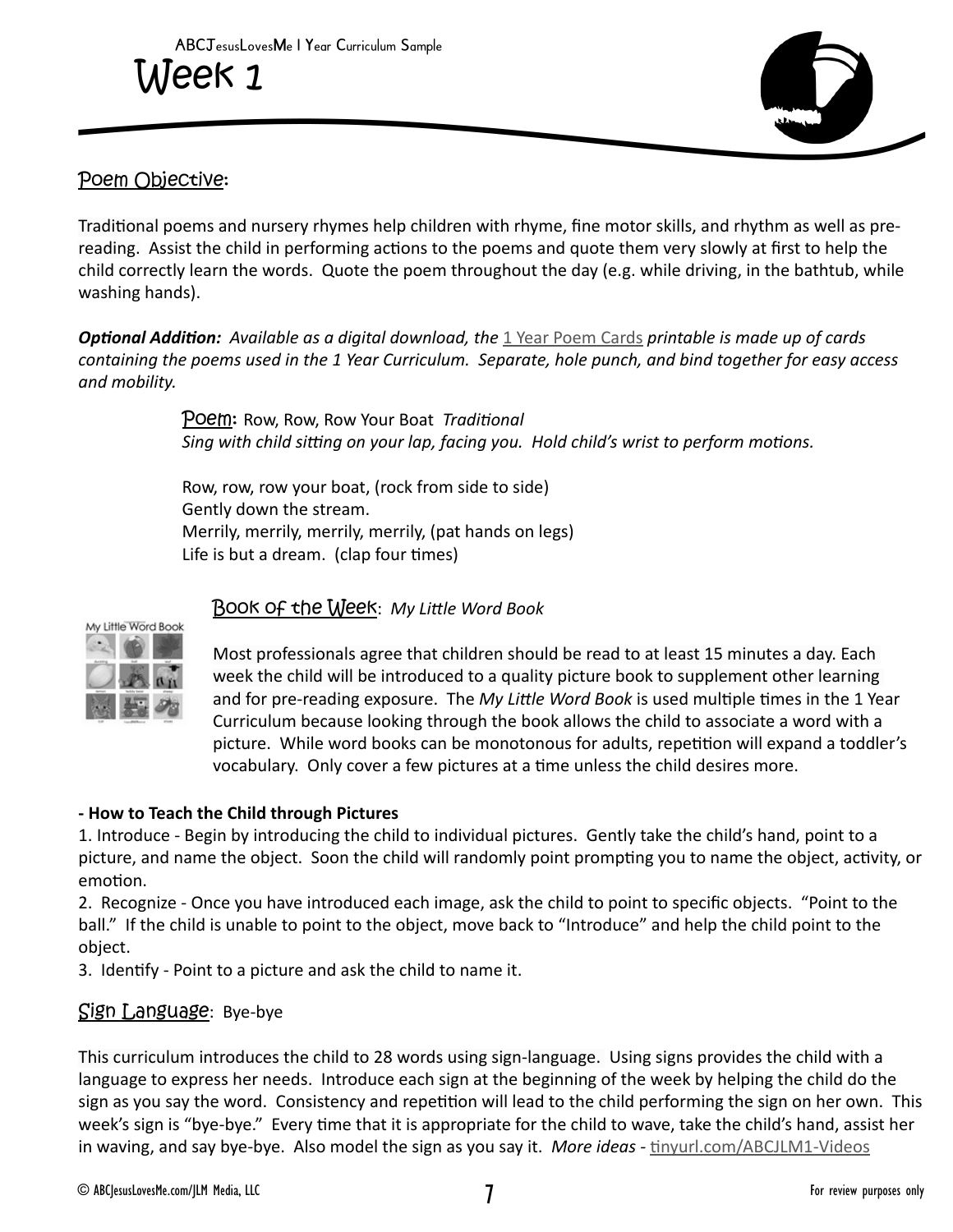

#### Poem Objective:

Traditional poems and nursery rhymes help children with rhyme, fine motor skills, and rhythm as well as prereading. Assist the child in performing actions to the poems and quote them very slowly at first to help the child correctly learn the words. Quote the poem throughout the day (e.g. while driving, in the bathtub, while washing hands).

*Optional Addition: Available as a digital download, the* 1 Year Poem Cards *printable is made up of cards containing the poems used in the 1 Year Curriculum. Separate, hole punch, and bind together for easy access and mobility.*

> Poem: Row, Row, Row Your Boat *Traditional Sing with child sitting on your lap, facing you. Hold child's wrist to perform motions.*

Row, row, row your boat, (rock from side to side) Gently down the stream. Merrily, merrily, merrily, merrily, (pat hands on legs) Life is but a dream. (clap four times)

### Book of the Week: *My Little Word Book*



Most professionals agree that children should be read to at least 15 minutes a day. Each week the child will be introduced to a quality picture book to supplement other learning and for pre-reading exposure. The *My Little Word Book* is used multiple times in the 1 Year Curriculum because looking through the book allows the child to associate a word with a picture. While word books can be monotonous for adults, repetition will expand a toddler's vocabulary. Only cover a few pictures at a time unless the child desires more.

#### **- How to Teach the Child through Pictures**

1. Introduce - Begin by introducing the child to individual pictures. Gently take the child's hand, point to a picture, and name the object. Soon the child will randomly point prompting you to name the object, activity, or emotion.

2. Recognize - Once you have introduced each image, ask the child to point to specific objects. "Point to the ball." If the child is unable to point to the object, move back to "Introduce" and help the child point to the object.

3. Identify - Point to a picture and ask the child to name it.

#### Sign Language: Bye-bye

This curriculum introduces the child to 28 words using sign-language. Using signs provides the child with a language to express her needs. Introduce each sign at the beginning of the week by helping the child do the sign as you say the word. Consistency and repetition will lead to the child performing the sign on her own. This week's sign is "bye-bye." Every time that it is appropriate for the child to wave, take the child's hand, assist her in waving, and say bye-bye. Also model the sign as you say it. *More ideas -* tinyurl.com/ABCJLM1-Videos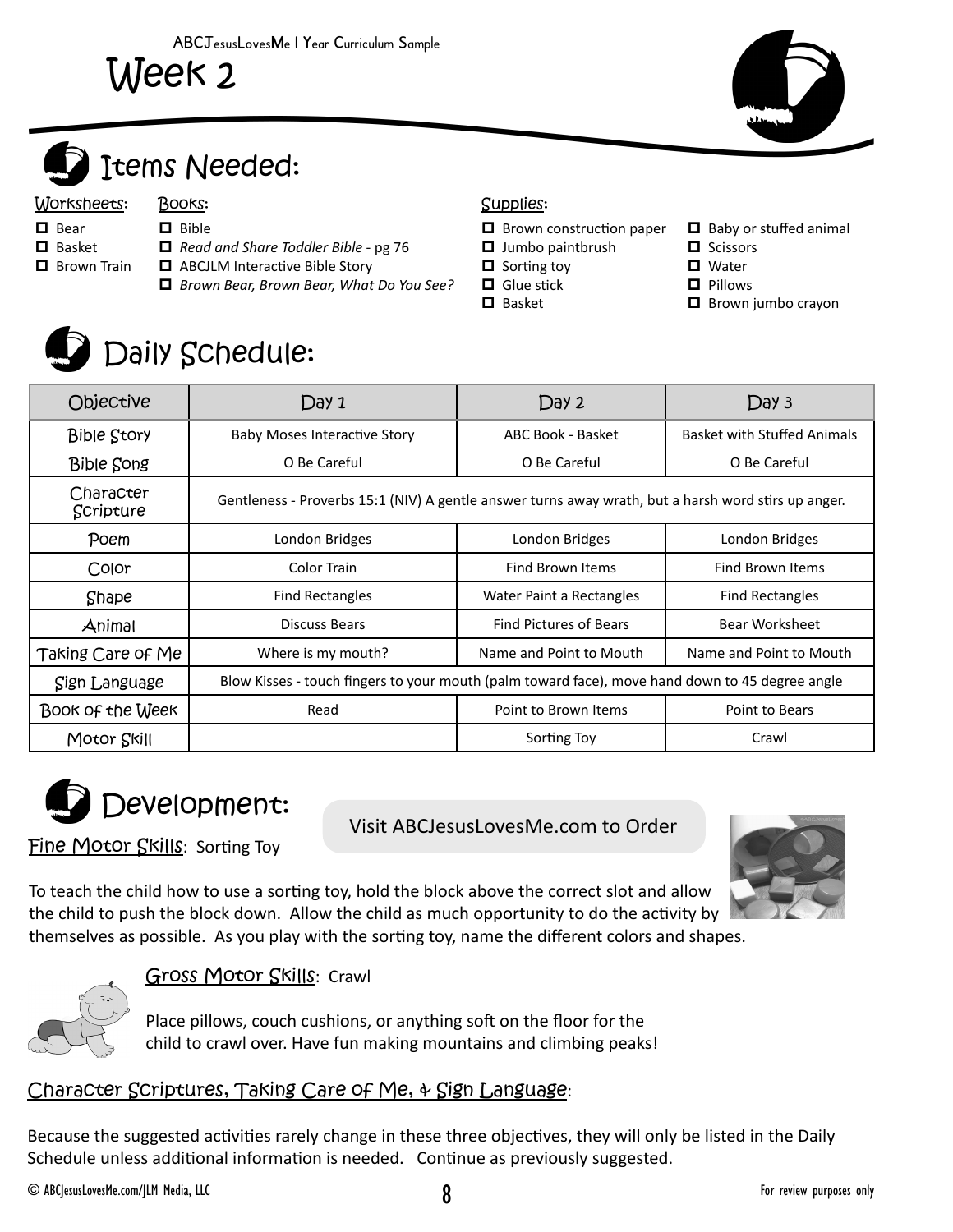Week 2



# Items Needed:

#### Worksheets: Books: Supplies:

- □ Bear
- **D** Basket
- **D** Brown Train
- D Bible *Read and Share Toddler Bible* - pg 76 □ ABCJLM Interactive Bible Story
- *Brown Bear, Brown Bear, What Do You See?*

- $\Box$  Brown construction paper
- $\blacksquare$  Jumbo paintbrush
- $\Box$  Sorting toy
- **O** Glue stick
- **□** Basket
- Baby or stuffed animal
- **D** Scissors
- **D** Water
- **D** Pillows
	- $\blacksquare$  Brown jumbo crayon



## Daily Schedule:

| Objective              | Day 1                                                                                               | Day 2                         | Day 3                              |  |
|------------------------|-----------------------------------------------------------------------------------------------------|-------------------------------|------------------------------------|--|
| <b>Bible Story</b>     | <b>Baby Moses Interactive Story</b>                                                                 | ABC Book - Basket             | <b>Basket with Stuffed Animals</b> |  |
| <b>Bible Song</b>      | O Be Careful                                                                                        | O Be Careful                  | O Be Careful                       |  |
| Character<br>Scripture | Gentleness - Proverbs 15:1 (NIV) A gentle answer turns away wrath, but a harsh word stirs up anger. |                               |                                    |  |
| Poem                   | London Bridges                                                                                      | London Bridges                | London Bridges                     |  |
| Color                  | <b>Color Train</b>                                                                                  | Find Brown Items              | Find Brown Items                   |  |
| Shape                  | <b>Find Rectangles</b>                                                                              | Water Paint a Rectangles      | <b>Find Rectangles</b>             |  |
| Animal                 | <b>Discuss Bears</b>                                                                                | <b>Find Pictures of Bears</b> | <b>Bear Worksheet</b>              |  |
| Taking Care of Me      | Where is my mouth?                                                                                  | Name and Point to Mouth       | Name and Point to Mouth            |  |
| Sign Language          | Blow Kisses - touch fingers to your mouth (palm toward face), move hand down to 45 degree angle     |                               |                                    |  |
| Book of the Week       | Read                                                                                                | Point to Brown Items          | Point to Bears                     |  |
| Motor Skill            |                                                                                                     | Sorting Toy                   | Crawl                              |  |



Visit ABCJesusLovesMe.com to Order

Fine Motor Skills: Sorting Toy



To teach the child how to use a sorting toy, hold the block above the correct slot and allow the child to push the block down. Allow the child as much opportunity to do the activity by themselves as possible. As you play with the sorting toy, name the different colors and shapes.



#### Gross Motor Skills: Crawl

Place pillows, couch cushions, or anything soft on the floor for the child to crawl over. Have fun making mountains and climbing peaks!

#### Character Scriptures, Taking Care of Me, & Sign Language:

Because the suggested activities rarely change in these three objectives, they will only be listed in the Daily Schedule unless additional information is needed. Continue as previously suggested.

© ABCJesusLovesMe.com/JLM Media, LLC 8 For review purposes only